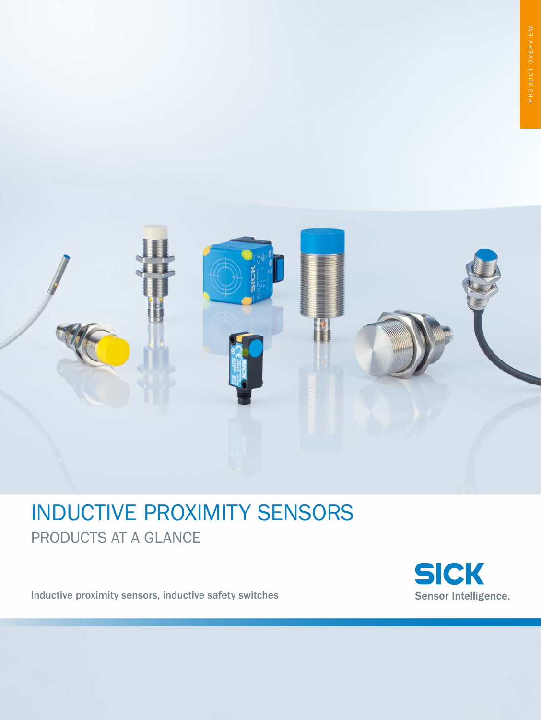

# INDUCTIVE PROXIMITY SENSORS PRODUCTS AT A GLANCE

Inductive proximity sensors, inductive safety switches

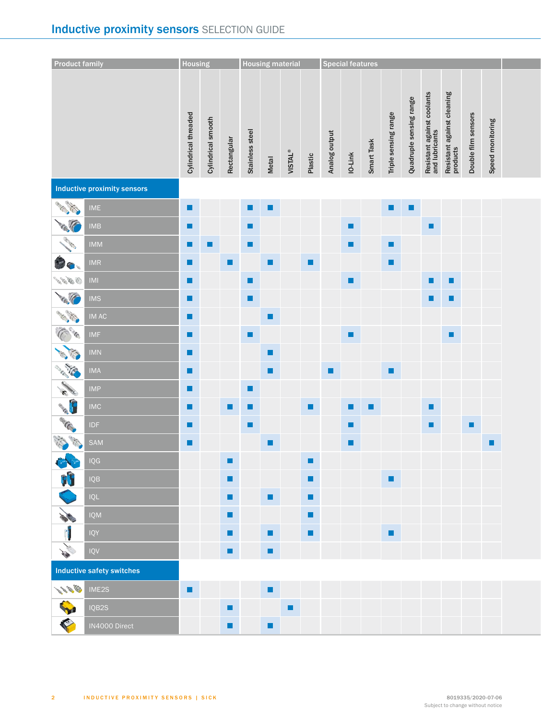#### Inductive proximity sensors SELECTION GUIDE

| <b>Product family</b>                                                                                                |                             | Housing              |                    |                |                 |                | <b>Housing material</b> |                |               |                | <b>Special features</b> |                             |                         |                                              |                                        |                     |                  |  |
|----------------------------------------------------------------------------------------------------------------------|-----------------------------|----------------------|--------------------|----------------|-----------------|----------------|-------------------------|----------------|---------------|----------------|-------------------------|-----------------------------|-------------------------|----------------------------------------------|----------------------------------------|---------------------|------------------|--|
|                                                                                                                      |                             | Cylindrical threaded | Cylindrical smooth | Rectangular    | Stainless steel | Metal          | $VISTAL^{\circledcirc}$ | Plastic        | Analog output | IO-Link        | Smart Task              | Triple sensing range        | Quadruple sensing range | Resistant against coolants<br>and lubricants | Resistant against cleaning<br>products | Double film sensors | Speed monitoring |  |
|                                                                                                                      | Inductive proximity sensors |                      |                    |                |                 |                |                         |                |               |                |                         |                             |                         |                                              |                                        |                     |                  |  |
|                                                                                                                      | ME                          | $\blacksquare$       |                    |                | н.              | <b>I</b>       |                         |                |               |                |                         | $\mathbf{r}$ , $\mathbf{r}$ |                         |                                              |                                        |                     |                  |  |
| <b>CENT</b>                                                                                                          | <b>MB</b>                   | $\blacksquare$       |                    |                | п               |                |                         |                |               |                |                         |                             |                         | $\blacksquare$                               |                                        |                     |                  |  |
| <b>CONSTRUCTION OF READ</b>                                                                                          | MM                          | $\blacksquare$       | $\mathbf{r}$       |                | $\blacksquare$  |                |                         |                |               | $\blacksquare$ |                         |                             |                         |                                              |                                        |                     |                  |  |
| Bo                                                                                                                   | MR                          | Д                    |                    | П              |                 |                |                         | $\blacksquare$ |               |                |                         | $\blacksquare$              |                         |                                              |                                        |                     |                  |  |
| $\bigcirc_{\sigma_1} \sigma_2 \sigma_3 \sigma_4 \sigma_5$                                                            | <b>IMI</b>                  | $\blacksquare$       |                    |                | <b>D</b>        |                |                         |                |               | Ξ              |                         |                             |                         | $\blacksquare$                               | $\blacksquare$                         |                     |                  |  |
| <b>CENTER</b>                                                                                                        | <b>MS</b>                   | $\blacksquare$       |                    |                | $\blacksquare$  |                |                         |                |               |                |                         |                             |                         | $\blacksquare$                               | $\blacksquare$                         |                     |                  |  |
| <b>CALL AND</b>                                                                                                      | M AC                        | $\blacksquare$       |                    |                |                 | $\blacksquare$ |                         |                |               |                |                         |                             |                         |                                              |                                        |                     |                  |  |
| Control                                                                                                              | MF                          | $\blacksquare$       |                    |                |                 |                |                         |                |               | $\blacksquare$ |                         |                             |                         |                                              | п                                      |                     |                  |  |
| <b>SALES</b>                                                                                                         | <b>MN</b>                   | $\blacksquare$       |                    |                |                 | $\blacksquare$ |                         |                |               |                |                         |                             |                         |                                              |                                        |                     |                  |  |
| <b>CALLES</b>                                                                                                        | MA                          | $\blacksquare$       |                    |                |                 | $\blacksquare$ |                         |                |               |                |                         | ×,                          |                         |                                              |                                        |                     |                  |  |
| <b>CALL</b>                                                                                                          | MP                          | $\blacksquare$       |                    |                | Е               |                |                         |                |               |                |                         |                             |                         |                                              |                                        |                     |                  |  |
|                                                                                                                      | <b>MC</b>                   | $\blacksquare$       |                    |                | $\blacksquare$  |                |                         | $\blacksquare$ |               | $\blacksquare$ | ×                       |                             |                         | $\blacksquare$                               |                                        |                     |                  |  |
| <b>ALGED</b>                                                                                                         | <b>IDF</b>                  | $\blacksquare$       |                    |                | $\blacksquare$  |                |                         |                |               | п              |                         |                             |                         | $\blacksquare$                               |                                        | $\mathcal{L}$       |                  |  |
| <b>Contract Contract Contract Contract Contract Contract Contract Contract Contract Contract Contract Contract C</b> | SAM                         | $\blacksquare$       |                    |                |                 | п              |                         |                |               | Ξ              |                         |                             |                         |                                              |                                        |                     | п                |  |
|                                                                                                                      | QG                          |                      |                    | $\blacksquare$ |                 |                |                         | $\blacksquare$ |               |                |                         |                             |                         |                                              |                                        |                     |                  |  |
| F                                                                                                                    | IQB                         |                      |                    | $\blacksquare$ |                 |                |                         | $\blacksquare$ |               |                |                         | $\mathbf{r}$                |                         |                                              |                                        |                     |                  |  |
|                                                                                                                      | IQL                         |                      |                    | $\blacksquare$ |                 | $\blacksquare$ |                         | $\blacksquare$ |               |                |                         |                             |                         |                                              |                                        |                     |                  |  |
| 3                                                                                                                    | IQM                         |                      |                    | $\blacksquare$ |                 |                |                         | $\blacksquare$ |               |                |                         |                             |                         |                                              |                                        |                     |                  |  |
| $\mathbf{I}$                                                                                                         | IQY                         |                      |                    | $\blacksquare$ |                 | $\blacksquare$ |                         | $\blacksquare$ |               |                |                         | $\blacksquare$              |                         |                                              |                                        |                     |                  |  |
| <b>AND</b>                                                                                                           | $ $ IQV                     |                      |                    | $\blacksquare$ |                 | $\blacksquare$ |                         |                |               |                |                         |                             |                         |                                              |                                        |                     |                  |  |
|                                                                                                                      | Inductive safety switches   |                      |                    |                |                 |                |                         |                |               |                |                         |                             |                         |                                              |                                        |                     |                  |  |
| ME2S                                                                                                                 |                             | $\blacksquare$       |                    |                |                 | $\blacksquare$ |                         |                |               |                |                         |                             |                         |                                              |                                        |                     |                  |  |
| S                                                                                                                    | IQB2S                       |                      |                    | $\blacksquare$ |                 |                | $\blacksquare$          |                |               |                |                         |                             |                         |                                              |                                        |                     |                  |  |
| <b>CONTROLLER</b>                                                                                                    | N4000 Direct                |                      |                    | $\blacksquare$ |                 | $\blacksquare$ |                         |                |               |                |                         |                             |                         |                                              |                                        |                     |                  |  |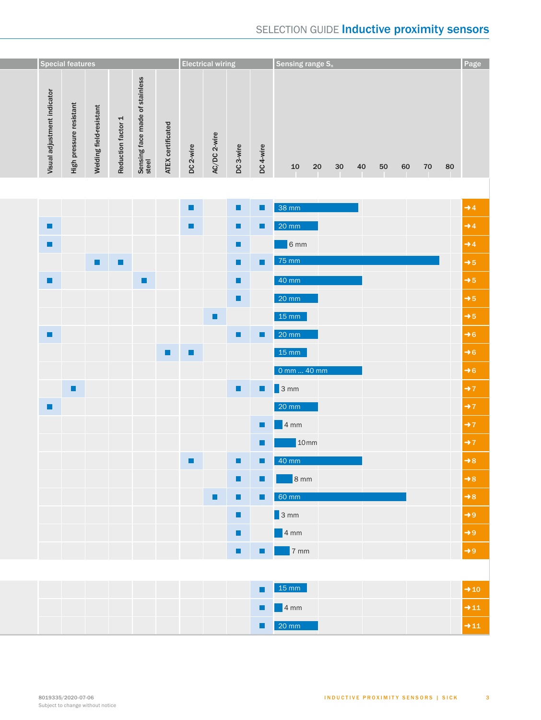### SELECTION GUIDE Inductive proximity sensors

|                             | <b>Special features</b> |                         |                    |                                         |                   |                | <b>Electrical wiring</b> |                |                | Sensing range S <sub>n</sub> |                           |    |    |    |    |                 | Page            |
|-----------------------------|-------------------------|-------------------------|--------------------|-----------------------------------------|-------------------|----------------|--------------------------|----------------|----------------|------------------------------|---------------------------|----|----|----|----|-----------------|-----------------|
| Visual adjustment indicator | High pressure resistant | Welding field-resistant | Reduction factor 1 | Sensing face made of stainless<br>steel | ATEX certificated | DC 2-wire      | AC/DC 2-wire             | DC 3-wire      | DC 4-wire      | 10                           | $20\,$<br>30 <sup>°</sup> | 40 | 50 | 60 | 70 | 80              |                 |
|                             |                         |                         |                    |                                         |                   |                |                          |                |                |                              |                           |    |    |    |    |                 |                 |
|                             |                         |                         |                    |                                         |                   | $\blacksquare$ |                          | $\blacksquare$ | $\blacksquare$ | 38 mm                        |                           |    |    |    |    | $\rightarrow$ 4 |                 |
| F                           |                         |                         |                    |                                         |                   | $\blacksquare$ |                          | П              |                | 20 mm                        |                           |    |    |    |    | $\rightarrow$ 4 |                 |
| $\blacksquare$              |                         |                         |                    |                                         |                   |                |                          | $\blacksquare$ |                | 6 <sub>mm</sub>              |                           |    |    |    |    | $\rightarrow$ 4 |                 |
|                             |                         | $\blacksquare$          | $\blacksquare$     |                                         |                   |                |                          | $\blacksquare$ | $\blacksquare$ | 75 mm                        |                           |    |    |    |    | $\rightarrow$ 5 |                 |
| Ξ                           |                         |                         |                    | Ξ                                       |                   |                |                          |                |                | 40 mm                        |                           |    |    |    |    | $\rightarrow$ 5 |                 |
|                             |                         |                         |                    |                                         |                   |                |                          | $\blacksquare$ |                | 20 mm                        |                           |    |    |    |    | $\rightarrow$ 5 |                 |
|                             |                         |                         |                    |                                         |                   |                | $\blacksquare$           |                |                | $15 \text{ mm}$              |                           |    |    |    |    | $\rightarrow$ 5 |                 |
| д                           |                         |                         |                    |                                         |                   |                |                          | $\blacksquare$ | $\blacksquare$ | $20 \text{ mm}$              |                           |    |    |    |    | $\rightarrow 6$ |                 |
|                             |                         |                         |                    |                                         | п.                | $\blacksquare$ |                          |                |                | $15 \text{ mm}$              |                           |    |    |    |    | $\rightarrow 6$ |                 |
|                             |                         |                         |                    |                                         |                   |                |                          |                |                | 0 mm  40 mm                  |                           |    |    |    |    | $\rightarrow 6$ |                 |
|                             | $\blacksquare$          |                         |                    |                                         |                   |                |                          | $\blacksquare$ |                | <b>E</b> 3 mm                |                           |    |    |    |    |                 | $\rightarrow$ 7 |
| Ξ                           |                         |                         |                    |                                         |                   |                |                          |                |                | 20 mm                        |                           |    |    |    |    |                 | $\rightarrow$ 7 |
|                             |                         |                         |                    |                                         |                   |                |                          |                |                | $\blacksquare$ 4 mm          |                           |    |    |    |    | $\rightarrow$ 7 |                 |
|                             |                         |                         |                    |                                         |                   |                |                          |                | $\blacksquare$ | 10mm                         |                           |    |    |    |    | $\rightarrow$ 7 |                 |
|                             |                         |                         |                    |                                         |                   | $\blacksquare$ |                          | $\blacksquare$ | $\blacksquare$ | $40$ mm                      |                           |    |    |    |    | $\rightarrow$ 8 |                 |
|                             |                         |                         |                    |                                         |                   |                |                          |                |                | <b>Example 1</b> 8 mm        |                           |    |    |    |    |                 | $\rightarrow 8$ |
|                             |                         |                         |                    |                                         |                   |                |                          |                |                | <b>EXAMPLE 60 mm</b>         |                           |    |    |    |    |                 | $\rightarrow$ 8 |
|                             |                         |                         |                    |                                         |                   |                |                          | million        |                | $\sqrt{3}$ mm                |                           |    |    |    |    |                 | $\rightarrow$ 9 |
|                             |                         |                         |                    |                                         |                   |                |                          | <b>ALC</b>     |                | $\blacksquare$ 4 mm          |                           |    |    |    |    |                 | $\rightarrow$ 9 |
|                             |                         |                         |                    |                                         |                   |                |                          |                |                | <b>Example 2</b> Times       |                           |    |    |    |    |                 | $\rightarrow$ 9 |
|                             |                         |                         |                    |                                         |                   |                |                          |                |                |                              |                           |    |    |    |    |                 |                 |

|   | $\sqrt{15 \text{ mm}}$ |  |
|---|------------------------|--|
| Æ | 4 mm                   |  |
|   | $\Box$ 20 mm           |  |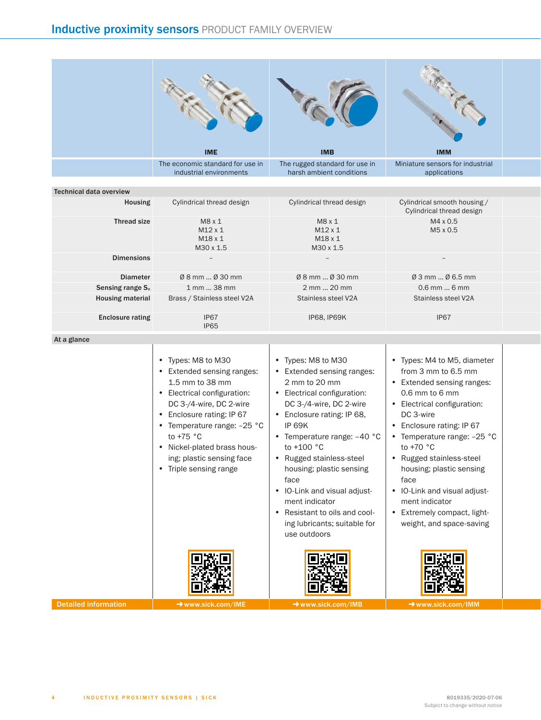<span id="page-3-2"></span><span id="page-3-1"></span><span id="page-3-0"></span>

| <b>IME</b>                                                  | <b>IMB</b>                                                 | <b>IMM</b>                                       |  |
|-------------------------------------------------------------|------------------------------------------------------------|--------------------------------------------------|--|
| The economic standard for use in<br>industrial environments | The rugged standard for use in<br>harsh ambient conditions | Miniature sensors for industrial<br>applications |  |

| Technical data overview |                                                       |                                                       |                                                           |  |
|-------------------------|-------------------------------------------------------|-------------------------------------------------------|-----------------------------------------------------------|--|
| Housing                 | Cylindrical thread design                             | Cylindrical thread design                             | Cylindrical smooth housing /<br>Cylindrical thread design |  |
| <b>Thread size</b>      | M8x1<br>$M12 \times 1$<br>$M18 \times 1$<br>M30 x 1.5 | M8x1<br>$M12 \times 1$<br>$M18 \times 1$<br>M30 x 1.5 | $M4 \times 0.5$<br>M5 x 0.5                               |  |
| <b>Dimensions</b>       | $\overline{\phantom{a}}$                              | $-$                                                   | $\hspace{0.1mm}-\hspace{0.1mm}$                           |  |
| <b>Diameter</b>         | Ø 8 mm  Ø 30 mm                                       | Ø 8 mm  Ø 30 mm                                       | Ø 3 mm  Ø 6.5 mm                                          |  |
| Sensing range $S_n$     | 1 mm  38 mm                                           | 2 mm  20 mm                                           | 0.6 mm  6 mm                                              |  |
| <b>Housing material</b> | Brass / Stainless steel V2A                           | Stainless steel V2A                                   | Stainless steel V2A                                       |  |
| <b>Enclosure rating</b> | IP67<br><b>IP65</b>                                   | <b>IP68, IP69K</b>                                    | IP67                                                      |  |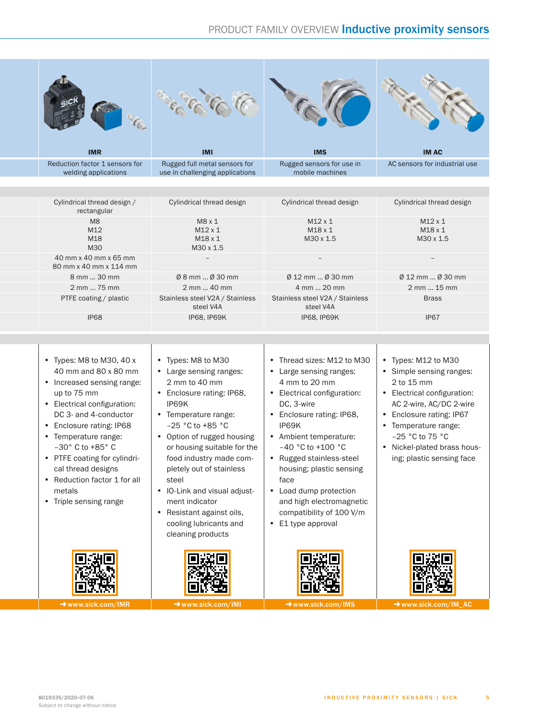#### <span id="page-4-3"></span><span id="page-4-2"></span><span id="page-4-1"></span><span id="page-4-0"></span>PRODUCT FAMILY OVERVIEW Inductive proximity sensors

|                       | <b>IMR</b>                                                                                                                                                                                                                                                                                                                                   | IMI                                                                                                                                                                                                                                                                                                                                                                                        | <b>IMS</b>                                                                                                                                                                                                                                                                                                                                                                         | <b>IMAC</b>                                                                                                                                                                                                                                                  |
|-----------------------|----------------------------------------------------------------------------------------------------------------------------------------------------------------------------------------------------------------------------------------------------------------------------------------------------------------------------------------------|--------------------------------------------------------------------------------------------------------------------------------------------------------------------------------------------------------------------------------------------------------------------------------------------------------------------------------------------------------------------------------------------|------------------------------------------------------------------------------------------------------------------------------------------------------------------------------------------------------------------------------------------------------------------------------------------------------------------------------------------------------------------------------------|--------------------------------------------------------------------------------------------------------------------------------------------------------------------------------------------------------------------------------------------------------------|
|                       | Reduction factor 1 sensors for<br>welding applications                                                                                                                                                                                                                                                                                       | Rugged full metal sensors for<br>use in challenging applications                                                                                                                                                                                                                                                                                                                           | Rugged sensors for use in<br>mobile machines                                                                                                                                                                                                                                                                                                                                       | AC sensors for industrial use                                                                                                                                                                                                                                |
|                       |                                                                                                                                                                                                                                                                                                                                              |                                                                                                                                                                                                                                                                                                                                                                                            |                                                                                                                                                                                                                                                                                                                                                                                    |                                                                                                                                                                                                                                                              |
|                       | Cylindrical thread design /<br>rectangular                                                                                                                                                                                                                                                                                                   | Cylindrical thread design                                                                                                                                                                                                                                                                                                                                                                  | Cylindrical thread design                                                                                                                                                                                                                                                                                                                                                          | Cylindrical thread design                                                                                                                                                                                                                                    |
|                       | M8<br>M12                                                                                                                                                                                                                                                                                                                                    | M8x1<br>$M12 \times 1$                                                                                                                                                                                                                                                                                                                                                                     | $M12 \times 1$<br>$M18 \times 1$                                                                                                                                                                                                                                                                                                                                                   | $M12 \times 1$<br>$M18 \times 1$                                                                                                                                                                                                                             |
|                       | M18<br>M30                                                                                                                                                                                                                                                                                                                                   | $M18 \times 1$<br>M30 x 1.5                                                                                                                                                                                                                                                                                                                                                                | M30 x 1.5                                                                                                                                                                                                                                                                                                                                                                          | M30 x 1.5                                                                                                                                                                                                                                                    |
|                       | 40 mm x 40 mm x 65 mm<br>80 mm x 40 mm x 114 mm                                                                                                                                                                                                                                                                                              |                                                                                                                                                                                                                                                                                                                                                                                            |                                                                                                                                                                                                                                                                                                                                                                                    |                                                                                                                                                                                                                                                              |
|                       | 8 mm  30 mm                                                                                                                                                                                                                                                                                                                                  | Ø 8 mm  Ø 30 mm                                                                                                                                                                                                                                                                                                                                                                            | Ø 12 mm  Ø 30 mm                                                                                                                                                                                                                                                                                                                                                                   | Ø 12 mm  Ø 30 mm                                                                                                                                                                                                                                             |
|                       | 2 mm  75 mm                                                                                                                                                                                                                                                                                                                                  | 2 mm  40 mm                                                                                                                                                                                                                                                                                                                                                                                | 4 mm  20 mm                                                                                                                                                                                                                                                                                                                                                                        | 2 mm  15 mm                                                                                                                                                                                                                                                  |
|                       | PTFE coating / plastic                                                                                                                                                                                                                                                                                                                       | Stainless steel V2A / Stainless<br>steel V4A                                                                                                                                                                                                                                                                                                                                               | Stainless steel V2A / Stainless<br>steel V4A                                                                                                                                                                                                                                                                                                                                       | <b>Brass</b>                                                                                                                                                                                                                                                 |
|                       | IP68                                                                                                                                                                                                                                                                                                                                         | <b>IP68, IP69K</b>                                                                                                                                                                                                                                                                                                                                                                         | <b>IP68, IP69K</b>                                                                                                                                                                                                                                                                                                                                                                 | IP67                                                                                                                                                                                                                                                         |
| up to 75 mm<br>metals | • Types: M8 to M30, 40 x<br>40 mm and 80 x 80 mm<br>• Increased sensing range:<br>• Electrical configuration:<br>DC 3- and 4-conductor<br>• Enclosure rating: IP68<br>• Temperature range:<br>$-30^\circ$ C to $+85^\circ$ C<br>• PTFE coating for cylindri-<br>cal thread designs<br>• Reduction factor 1 for all<br>• Triple sensing range | • Types: M8 to M30<br>• Large sensing ranges:<br>2 mm to 40 mm<br>• Enclosure rating: IP68,<br>IP69K<br>• Temperature range:<br>$-25 °C$ to $+85 °C$<br>• Option of rugged housing<br>or housing suitable for the<br>food industry made com-<br>pletely out of stainless<br>steel<br>• IO-Link and visual adjust-<br>ment indicator<br>• Resistant against oils,<br>cooling lubricants and | • Thread sizes: M12 to M30<br>• Large sensing ranges:<br>4 mm to 20 mm<br>• Electrical configuration:<br>DC, 3-wire<br>• Enclosure rating: IP68,<br>IP69K<br>• Ambient temperature:<br>$-40$ °C to +100 °C<br>• Rugged stainless-steel<br>housing; plastic sensing<br>face<br>• Load dump protection<br>and high electromagnetic<br>compatibility of 100 V/m<br>• E1 type approval | • Types: M12 to M30<br>• Simple sensing ranges:<br>2 to 15 mm<br>• Electrical configuration:<br>AC 2-wire, AC/DC 2-wire<br>• Enclosure rating: IP67<br>• Temperature range:<br>$-25 °C$ to 75 °C<br>• Nickel-plated brass hous-<br>ing; plastic sensing face |

 $\begin{array}{|c|c|c|c|c|}\hline \multimap$ <www.sick.com/IMR> -  $\end{array}$   $\begin{array}{|c|c|c|c|c|}\hline \multimap$ <www.sick.com/IMS> -  $\end{array}$ [www.sick.com/IM\\_AC](www.sick.com/IM_AC)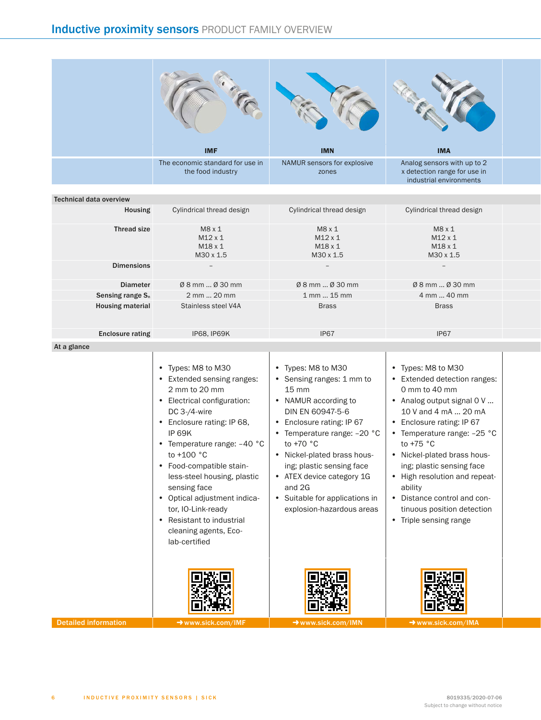<span id="page-5-2"></span><span id="page-5-1"></span><span id="page-5-0"></span>

| <b>Technical data overview</b> |                                                                                                                                                                                                                                                                                                                                                                                                                      |                                                                                                                                                                                                                                                                                                                                                           |                                                                                                                                                                                                                                                                                                                                                                                                     |
|--------------------------------|----------------------------------------------------------------------------------------------------------------------------------------------------------------------------------------------------------------------------------------------------------------------------------------------------------------------------------------------------------------------------------------------------------------------|-----------------------------------------------------------------------------------------------------------------------------------------------------------------------------------------------------------------------------------------------------------------------------------------------------------------------------------------------------------|-----------------------------------------------------------------------------------------------------------------------------------------------------------------------------------------------------------------------------------------------------------------------------------------------------------------------------------------------------------------------------------------------------|
| Housing                        | Cylindrical thread design                                                                                                                                                                                                                                                                                                                                                                                            | Cylindrical thread design                                                                                                                                                                                                                                                                                                                                 | Cylindrical thread design                                                                                                                                                                                                                                                                                                                                                                           |
| <b>Thread size</b>             | M8x1<br>$M12 \times 1$<br>M18 x 1<br>M30 x 1.5                                                                                                                                                                                                                                                                                                                                                                       | M8x1<br>$M12 \times 1$<br>$M18 \times 1$<br>M30 x 1.5                                                                                                                                                                                                                                                                                                     | M8x1<br>$M12 \times 1$<br>M18 x 1<br>M30 x 1.5                                                                                                                                                                                                                                                                                                                                                      |
| <b>Dimensions</b>              | $\equiv$                                                                                                                                                                                                                                                                                                                                                                                                             | $\overline{\phantom{0}}$                                                                                                                                                                                                                                                                                                                                  | $\overline{\phantom{a}}$                                                                                                                                                                                                                                                                                                                                                                            |
| <b>Diameter</b>                | Ø 8 mm  Ø 30 mm                                                                                                                                                                                                                                                                                                                                                                                                      | Ø 8 mm  Ø 30 mm                                                                                                                                                                                                                                                                                                                                           | Ø 8 mm  Ø 30 mm                                                                                                                                                                                                                                                                                                                                                                                     |
| Sensing range $S_n$            | 2 mm  20 mm                                                                                                                                                                                                                                                                                                                                                                                                          | 1 mm  15 mm                                                                                                                                                                                                                                                                                                                                               | 4 mm  40 mm                                                                                                                                                                                                                                                                                                                                                                                         |
| <b>Housing material</b>        | Stainless steel V4A                                                                                                                                                                                                                                                                                                                                                                                                  | <b>Brass</b>                                                                                                                                                                                                                                                                                                                                              | <b>Brass</b>                                                                                                                                                                                                                                                                                                                                                                                        |
| <b>Enclosure rating</b>        | <b>IP68, IP69K</b>                                                                                                                                                                                                                                                                                                                                                                                                   | IP67                                                                                                                                                                                                                                                                                                                                                      | IP67                                                                                                                                                                                                                                                                                                                                                                                                |
| At a glance                    |                                                                                                                                                                                                                                                                                                                                                                                                                      |                                                                                                                                                                                                                                                                                                                                                           |                                                                                                                                                                                                                                                                                                                                                                                                     |
|                                | • Types: M8 to M30<br>• Extended sensing ranges:<br>2 mm to 20 mm<br>• Electrical configuration:<br>DC 3-/4-wire<br>• Enclosure rating: IP 68,<br><b>IP 69K</b><br>• Temperature range: -40 °C<br>to +100 °C<br>• Food-compatible stain-<br>less-steel housing, plastic<br>sensing face<br>• Optical adjustment indica-<br>tor, IO-Link-ready<br>• Resistant to industrial<br>cleaning agents, Eco-<br>lab-certified | • Types: M8 to M30<br>• Sensing ranges: 1 mm to<br>$15 \text{ mm}$<br>• NAMUR according to<br>DIN EN 60947-5-6<br>• Enclosure rating: IP 67<br>• Temperature range: -20 °C<br>to +70 °C<br>• Nickel-plated brass hous-<br>ing; plastic sensing face<br>• ATEX device category 1G<br>and 2G<br>• Suitable for applications in<br>explosion-hazardous areas | • Types: M8 to M30<br>• Extended detection ranges:<br>0 mm to 40 mm<br>• Analog output signal 0 V<br>10 V and 4 mA  20 mA<br>• Enclosure rating: IP 67<br>• Temperature range: -25 °C<br>to $+75$ °C<br>• Nickel-plated brass hous-<br>ing; plastic sensing face<br>• High resolution and repeat-<br>ability<br>• Distance control and con-<br>tinuous position detection<br>• Triple sensing range |
|                                |                                                                                                                                                                                                                                                                                                                                                                                                                      |                                                                                                                                                                                                                                                                                                                                                           |                                                                                                                                                                                                                                                                                                                                                                                                     |
| <b>Detailed information</b>    | $\rightarrow$ www.sick.com/IMF                                                                                                                                                                                                                                                                                                                                                                                       | $\rightarrow$ www.sick.com/IMN                                                                                                                                                                                                                                                                                                                            | $\rightarrow$ www.sick.com/IMA                                                                                                                                                                                                                                                                                                                                                                      |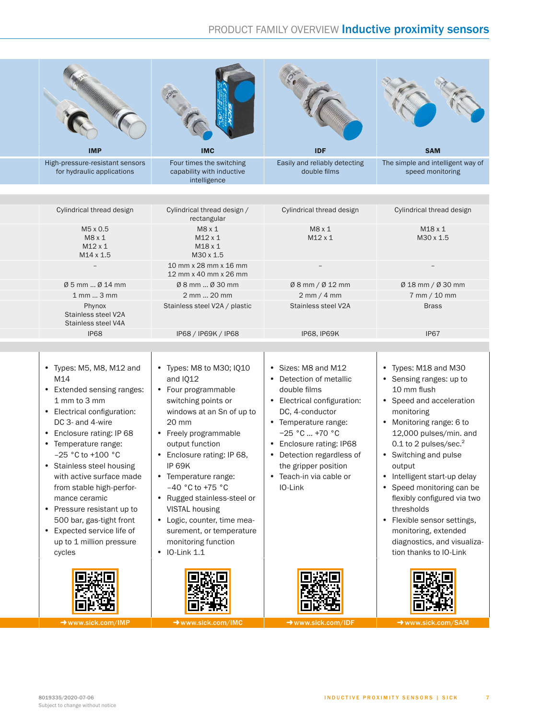### <span id="page-6-3"></span><span id="page-6-2"></span><span id="page-6-1"></span><span id="page-6-0"></span>PRODUCT FAMILY OVERVIEW Inductive proximity sensors

| <b>IMP</b><br><b>IDF</b><br><b>IMC</b>                                                                                                                                                                                                                                                                                                                                                                                                                                                                                                                                                                                      | <b>SAM</b>                                                                                                                                                                                                                                                                                                                                                             |
|-----------------------------------------------------------------------------------------------------------------------------------------------------------------------------------------------------------------------------------------------------------------------------------------------------------------------------------------------------------------------------------------------------------------------------------------------------------------------------------------------------------------------------------------------------------------------------------------------------------------------------|------------------------------------------------------------------------------------------------------------------------------------------------------------------------------------------------------------------------------------------------------------------------------------------------------------------------------------------------------------------------|
| High-pressure-resistant sensors<br>Four times the switching<br>for hydraulic applications<br>capability with inductive<br>intelligence                                                                                                                                                                                                                                                                                                                                                                                                                                                                                      | Easily and reliably detecting<br>The simple and intelligent way of<br>double films<br>speed monitoring                                                                                                                                                                                                                                                                 |
|                                                                                                                                                                                                                                                                                                                                                                                                                                                                                                                                                                                                                             |                                                                                                                                                                                                                                                                                                                                                                        |
| Cylindrical thread design<br>Cylindrical thread design /<br>rectangular                                                                                                                                                                                                                                                                                                                                                                                                                                                                                                                                                     | Cylindrical thread design<br>Cylindrical thread design                                                                                                                                                                                                                                                                                                                 |
| M5 x 0.5<br>M8x1<br>$M8 \times 1$<br>$M12 \times 1$<br>$M12 \times 1$<br>$M18 \times 1$<br>M14 x 1.5<br>M30 x 1.5                                                                                                                                                                                                                                                                                                                                                                                                                                                                                                           | M8x1<br>$M18 \times 1$<br>M12 x 1<br>M30 x 1.5                                                                                                                                                                                                                                                                                                                         |
| 10 mm x 28 mm x 16 mm<br>12 mm x 40 mm x 26 mm                                                                                                                                                                                                                                                                                                                                                                                                                                                                                                                                                                              |                                                                                                                                                                                                                                                                                                                                                                        |
| Ø 5 mm  Ø 14 mm<br>Ø 8 mm  Ø 30 mm                                                                                                                                                                                                                                                                                                                                                                                                                                                                                                                                                                                          | Ø8mm/Ø12mm<br>Ø 18 mm / Ø 30 mm                                                                                                                                                                                                                                                                                                                                        |
| 1 mm  3 mm<br>2 mm  20 mm                                                                                                                                                                                                                                                                                                                                                                                                                                                                                                                                                                                                   | 7 mm / 10 mm<br>$2 \text{ mm} / 4 \text{ mm}$                                                                                                                                                                                                                                                                                                                          |
| Phynox<br>Stainless steel V2A / plastic<br>Stainless steel V2A<br>Stainless steel V4A                                                                                                                                                                                                                                                                                                                                                                                                                                                                                                                                       | Stainless steel V2A<br><b>Brass</b>                                                                                                                                                                                                                                                                                                                                    |
| IP68<br>IP68 / IP69K / IP68                                                                                                                                                                                                                                                                                                                                                                                                                                                                                                                                                                                                 | IP67<br>IP68, IP69K                                                                                                                                                                                                                                                                                                                                                    |
|                                                                                                                                                                                                                                                                                                                                                                                                                                                                                                                                                                                                                             |                                                                                                                                                                                                                                                                                                                                                                        |
| • Sizes: M8 and M12<br>• Types: M5, M8, M12 and<br>• Types: M8 to M30; IQ10<br>• Detection of metallic<br>M14<br>and IQ12<br>double films<br>• Extended sensing ranges:<br>• Four programmable<br>1 mm to 3 mm<br>switching points or<br>• Electrical configuration:<br>• Electrical configuration:<br>windows at an Sn of up to<br>DC, 4-conductor                                                                                                                                                                                                                                                                         | • Types: M18 and M30<br>• Sensing ranges: up to<br>10 mm flush                                                                                                                                                                                                                                                                                                         |
| DC 3- and 4-wire<br>20 mm<br>• Temperature range:<br>$-25 °C  +70 °C$<br>• Freely programmable<br>output function<br>• Enclosure rating: IP68<br>$-25 °C$ to $+100 °C$<br>• Enclosure rating: IP 68,<br>• Detection regardless of<br>IP 69K<br>the gripper position<br>• Teach-in via cable or<br>with active surface made<br>• Temperature range:<br>$-40$ °C to +75 °C<br>from stable high-perfor-<br>IO-Link<br>• Rugged stainless-steel or<br>mance ceramic<br>VISTAL housing<br>500 bar, gas-tight front<br>· Logic, counter, time mea-<br>surement, or temperature<br>up to 1 million pressure<br>monitoring function | • Speed and acceleration<br>monitoring<br>• Monitoring range: 6 to<br>12,000 pulses/min. and<br>$0.1$ to 2 pulses/sec. <sup>2</sup><br>• Switching and pulse<br>output<br>• Intelligent start-up delay<br>• Speed monitoring can be<br>flexibly configured via two<br>thresholds<br>• Flexible sensor settings,<br>monitoring, extended<br>diagnostics, and visualiza- |
| • Enclosure rating: IP 68<br>• Temperature range:<br>• Stainless steel housing<br>• Pressure resistant up to<br>• Expected service life of<br>$\cdot$ IO-Link 1.1<br>cycles                                                                                                                                                                                                                                                                                                                                                                                                                                                 | tion thanks to IO-Link                                                                                                                                                                                                                                                                                                                                                 |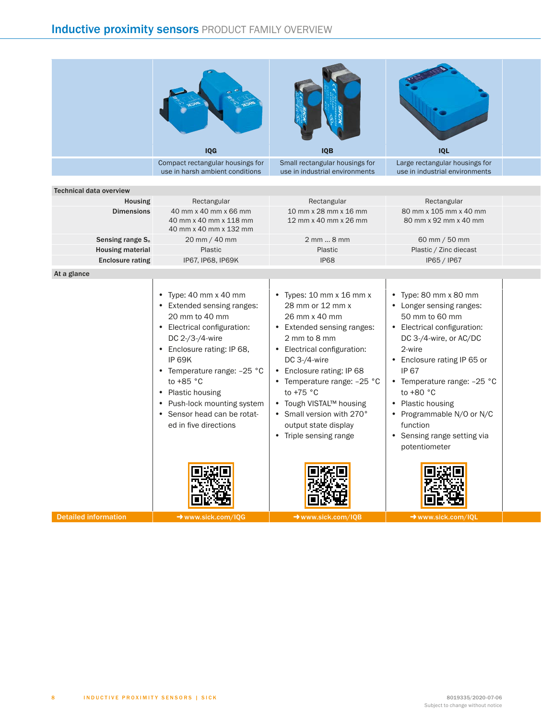<span id="page-7-2"></span><span id="page-7-1"></span><span id="page-7-0"></span>

Detailed information -<www.sick.com/IQG> -<www.sick.com/IQB> -www.sick.com/IQU -www.sick.com/IQU -www.sick.com/IQU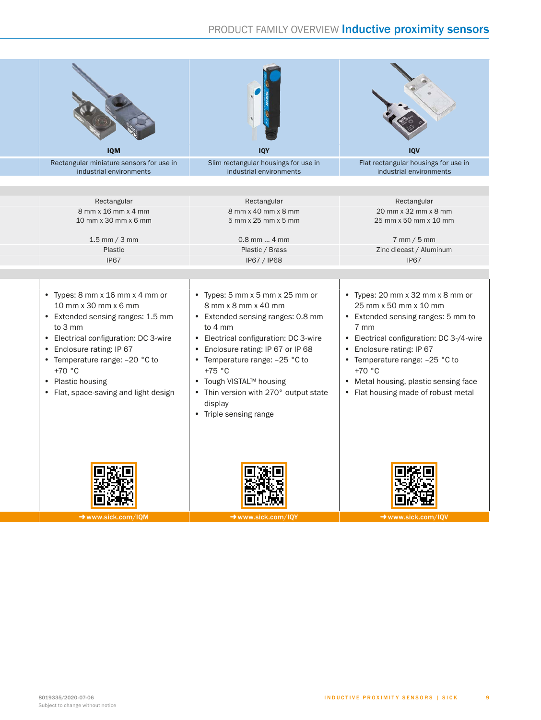### <span id="page-8-2"></span><span id="page-8-1"></span><span id="page-8-0"></span>PRODUCT FAMILY OVERVIEW Inductive proximity sensors

| <b>IQM</b><br><b>IQV</b><br>Slim rectangular housings for use in<br>Flat rectangular housings for use in<br>industrial environments<br>industrial environments<br>industrial environments<br>Rectangular<br>Rectangular<br>Rectangular<br>8 mm x 16 mm x 4 mm<br>8 mm x 40 mm x 8 mm<br>20 mm x 32 mm x 8 mm<br>10 mm x 30 mm x 6 mm<br>5 mm x 25 mm x 5 mm<br>25 mm x 50 mm x 10 mm<br>$7$ mm / 5 mm<br>$1.5$ mm / 3 mm<br>$0.8$ mm  4 mm<br>Plastic / Brass<br>Zinc diecast / Aluminum<br>Plastic<br>IP67<br>IP67 / IP68<br>IP67<br>• Types: 5 mm x 5 mm x 25 mm or<br>• Types: 20 mm x 32 mm x 8 mm or<br>8 mm x 8 mm x 40 mm<br>25 mm x 50 mm x 10 mm<br>• Extended sensing ranges: 0.8 mm<br>• Extended sensing ranges: 5 mm to<br>to 4 mm<br>7 mm<br>• Electrical configuration: DC 3-wire<br>• Electrical configuration: DC 3-/4-wire<br>• Enclosure rating: IP 67 or IP 68<br>• Enclosure rating: IP 67<br>• Temperature range: -25 °C to<br>• Temperature range: -25 °C to<br>$+70 °C$<br>$+75 °C$<br>● Tough VISTAL™ housing<br>• Metal housing, plastic sensing face<br>• Thin version with 270° output state<br>• Flat housing made of robust metal<br>display<br>• Triple sensing range |                                                                                                                                                                                                                                                                                           |     |  |
|------------------------------------------------------------------------------------------------------------------------------------------------------------------------------------------------------------------------------------------------------------------------------------------------------------------------------------------------------------------------------------------------------------------------------------------------------------------------------------------------------------------------------------------------------------------------------------------------------------------------------------------------------------------------------------------------------------------------------------------------------------------------------------------------------------------------------------------------------------------------------------------------------------------------------------------------------------------------------------------------------------------------------------------------------------------------------------------------------------------------------------------------------------------------------------------------------|-------------------------------------------------------------------------------------------------------------------------------------------------------------------------------------------------------------------------------------------------------------------------------------------|-----|--|
|                                                                                                                                                                                                                                                                                                                                                                                                                                                                                                                                                                                                                                                                                                                                                                                                                                                                                                                                                                                                                                                                                                                                                                                                      |                                                                                                                                                                                                                                                                                           | IQY |  |
|                                                                                                                                                                                                                                                                                                                                                                                                                                                                                                                                                                                                                                                                                                                                                                                                                                                                                                                                                                                                                                                                                                                                                                                                      | Rectangular miniature sensors for use in                                                                                                                                                                                                                                                  |     |  |
|                                                                                                                                                                                                                                                                                                                                                                                                                                                                                                                                                                                                                                                                                                                                                                                                                                                                                                                                                                                                                                                                                                                                                                                                      |                                                                                                                                                                                                                                                                                           |     |  |
|                                                                                                                                                                                                                                                                                                                                                                                                                                                                                                                                                                                                                                                                                                                                                                                                                                                                                                                                                                                                                                                                                                                                                                                                      |                                                                                                                                                                                                                                                                                           |     |  |
|                                                                                                                                                                                                                                                                                                                                                                                                                                                                                                                                                                                                                                                                                                                                                                                                                                                                                                                                                                                                                                                                                                                                                                                                      |                                                                                                                                                                                                                                                                                           |     |  |
|                                                                                                                                                                                                                                                                                                                                                                                                                                                                                                                                                                                                                                                                                                                                                                                                                                                                                                                                                                                                                                                                                                                                                                                                      |                                                                                                                                                                                                                                                                                           |     |  |
|                                                                                                                                                                                                                                                                                                                                                                                                                                                                                                                                                                                                                                                                                                                                                                                                                                                                                                                                                                                                                                                                                                                                                                                                      |                                                                                                                                                                                                                                                                                           |     |  |
|                                                                                                                                                                                                                                                                                                                                                                                                                                                                                                                                                                                                                                                                                                                                                                                                                                                                                                                                                                                                                                                                                                                                                                                                      |                                                                                                                                                                                                                                                                                           |     |  |
|                                                                                                                                                                                                                                                                                                                                                                                                                                                                                                                                                                                                                                                                                                                                                                                                                                                                                                                                                                                                                                                                                                                                                                                                      | • Types: 8 mm x 16 mm x 4 mm or<br>10 mm x 30 mm x 6 mm<br>• Extended sensing ranges: 1.5 mm<br>to 3 mm<br>• Electrical configuration: DC 3-wire<br>• Enclosure rating: IP 67<br>• Temperature range: -20 °C to<br>$+70 °C$<br>• Plastic housing<br>• Flat, space-saving and light design |     |  |
| $\rightarrow$ www.sick.com/IQM<br>$\rightarrow$ www.sick.com/IQY<br>$\rightarrow$ www.sick.com/IQV                                                                                                                                                                                                                                                                                                                                                                                                                                                                                                                                                                                                                                                                                                                                                                                                                                                                                                                                                                                                                                                                                                   |                                                                                                                                                                                                                                                                                           |     |  |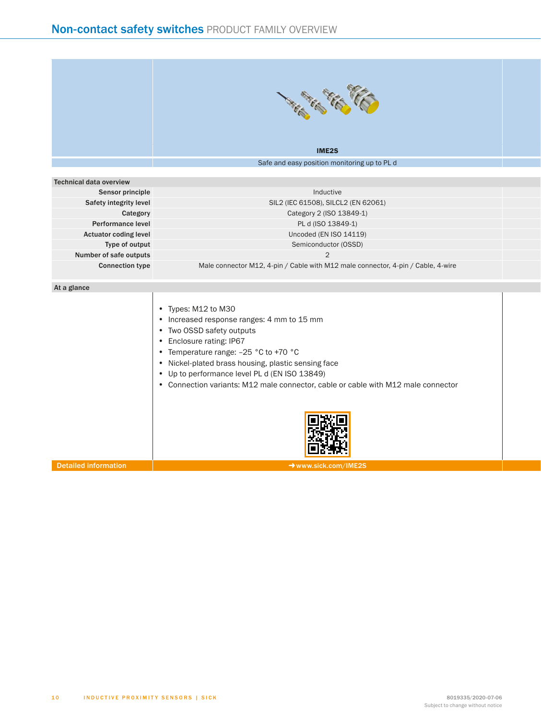<span id="page-9-0"></span>

|                                | EFF<br><b>FORT CASE</b><br><b>CHACKER</b><br>S |  |
|--------------------------------|------------------------------------------------|--|
|                                | IME2S                                          |  |
|                                | Safe and easy position monitoring up to PL d   |  |
| <b>Technical data overview</b> |                                                |  |
|                                |                                                |  |
| Sensor principle               | Inductive                                      |  |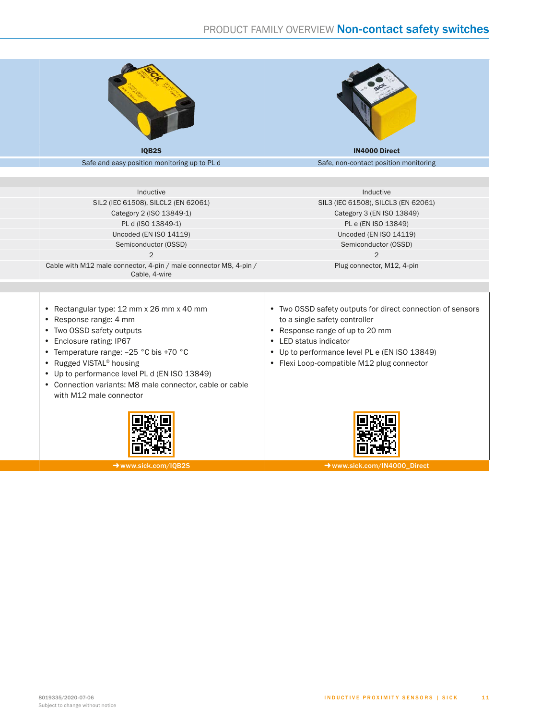#### <span id="page-10-1"></span>PRODUCT FAMILY OVERVIEW Non-contact safety switches



<span id="page-10-0"></span>Safe and easy position monitoring up to PL d Safe, non-contact position monitoring up to PL d

Sensor principle Inductive Inductive Inductive Safety integrity level SIL2 (IEC 61508), SILCL2 (EN 62061) SIL2 (IEC 61508), SILCL2 (EN 62061) SIL3 (IEC 61508), SILCL3 (EN 62061) Category Category 2 (ISO 13849-1) Category 2 (ISO 13849-1) Category 3 (EN ISO 13849) Performance level PL d (ISO 13849-1) PL d (ISO 13849-1) PL e (EN ISO 13849) Actuator coding level Uncoded (EN ISO 14119) Uncoded (EN ISO 14119) Uncoded (EN ISO 14119) Type of output Semiconductor (OSSD) Semiconductor (OSSD) Semiconductor (OSSD)

Number of safe outputs 2  $2$  2  $2$ Cable with M12 male connector, 4-pin / male connector M8, 4-pin / Cable, 4-wire

- Rectangular type: 12 mm x 26 mm x 40 mm
- Response range: 4 mm
- Two OSSD safety outputs
- Enclosure rating: IP67
- Temperature range: –25 °C bis +70 °C
- Rugged VISTAL® housing
- Up to performance level PL d (EN ISO 13849)
- Connection variants: M8 male connector, cable or cable with M12 male connector





Plug connector, M12, 4-pin

- Response range of up to 20 mm
- LED status indicator
- Up to performance level PL e (EN ISO 13849)
- Flexi Loop-compatible M12 plug connector



Detailed information -<www.sick.com/IME2S> -<www.sick.com/IQB2S> -[www.sick.com/IN4000\\_Direct](www.sick.com/IN4000_Direct)